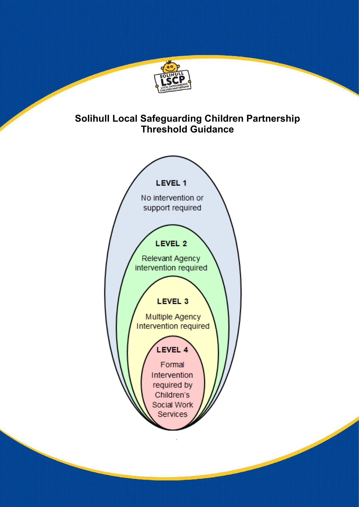

# **Solihull Local Safeguarding Children Partnership Threshold Guidance**

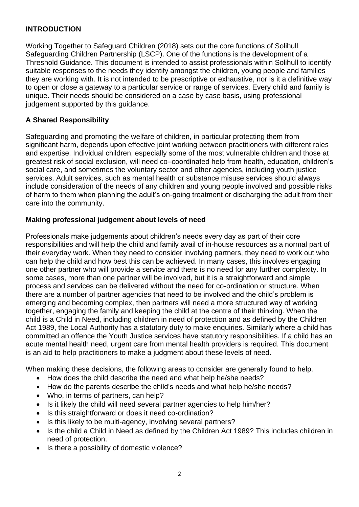### **INTRODUCTION**

Working Together to Safeguard Children (2018) sets out the core functions of Solihull Safeguarding Children Partnership (LSCP). One of the functions is the development of a Threshold Guidance. This document is intended to assist professionals within Solihull to identify suitable responses to the needs they identify amongst the children, young people and families they are working with. It is not intended to be prescriptive or exhaustive, nor is it a definitive way to open or close a gateway to a particular service or range of services. Every child and family is unique. Their needs should be considered on a case by case basis, using professional judgement supported by this guidance.

#### **A Shared Responsibility**

Safeguarding and promoting the welfare of children, in particular protecting them from significant harm, depends upon effective joint working between practitioners with different roles and expertise. Individual children, especially some of the most vulnerable children and those at greatest risk of social exclusion, will need co–coordinated help from health, education, children's social care, and sometimes the voluntary sector and other agencies, including youth justice services. Adult services, such as mental health or substance misuse services should always include consideration of the needs of any children and young people involved and possible risks of harm to them when planning the adult's on-going treatment or discharging the adult from their care into the community.

#### **Making professional judgement about levels of need**

Professionals make judgements about children's needs every day as part of their core responsibilities and will help the child and family avail of in-house resources as a normal part of their everyday work. When they need to consider involving partners, they need to work out who can help the child and how best this can be achieved. In many cases, this involves engaging one other partner who will provide a service and there is no need for any further complexity. In some cases, more than one partner will be involved, but it is a straightforward and simple process and services can be delivered without the need for co-ordination or structure. When there are a number of partner agencies that need to be involved and the child's problem is emerging and becoming complex, then partners will need a more structured way of working together, engaging the family and keeping the child at the centre of their thinking. When the child is a Child in Need, including children in need of protection and as defined by the Children Act 1989, the Local Authority has a statutory duty to make enquiries. Similarly where a child has committed an offence the Youth Justice services have statutory responsibilities. If a child has an acute mental health need, urgent care from mental health providers is required. This document is an aid to help practitioners to make a judgment about these levels of need.

When making these decisions, the following areas to consider are generally found to help.

- How does the child describe the need and what help he/she needs?
- How do the parents describe the child's needs and what help he/she needs?
- Who, in terms of partners, can help?
- Is it likely the child will need several partner agencies to help him/her?
- Is this straightforward or does it need co-ordination?
- Is this likely to be multi-agency, involving several partners?
- Is the child a Child in Need as defined by the Children Act 1989? This includes children in need of protection.
- Is there a possibility of domestic violence?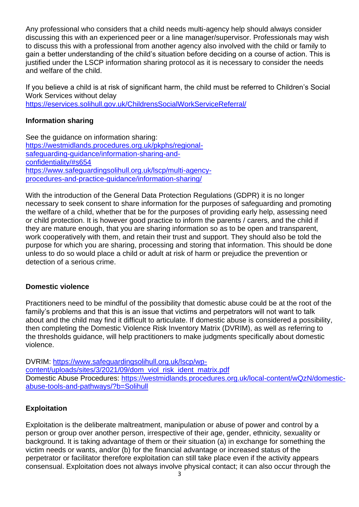Any professional who considers that a child needs multi-agency help should always consider discussing this with an experienced peer or a line manager/supervisor. Professionals may wish to discuss this with a professional from another agency also involved with the child or family to gain a better understanding of the child's situation before deciding on a course of action. This is justified under the LSCP information sharing protocol as it is necessary to consider the needs and welfare of the child.

If you believe a child is at risk of significant harm, the child must be referred to Children's Social Work Services without delay

<https://eservices.solihull.gov.uk/ChildrensSocialWorkServiceReferral/>

#### **Information sharing**

See the guidance on information sharing: [https://westmidlands.procedures.org.uk/pkphs/regional](https://westmidlands.procedures.org.uk/pkphs/regional-safeguarding-guidance/information-sharing-and-confidentiality/#s654)[safeguarding-guidance/information-sharing-and](https://westmidlands.procedures.org.uk/pkphs/regional-safeguarding-guidance/information-sharing-and-confidentiality/#s654)[confidentiality/#s654](https://westmidlands.procedures.org.uk/pkphs/regional-safeguarding-guidance/information-sharing-and-confidentiality/#s654) [https://www.safeguardingsolihull.org.uk/lscp/multi-agency](https://www.safeguardingsolihull.org.uk/lscp/multi-agency-procedures-and-practice-guidance/information-sharing/)[procedures-and-practice-guidance/information-sharing/](https://www.safeguardingsolihull.org.uk/lscp/multi-agency-procedures-and-practice-guidance/information-sharing/)

With the introduction of the General Data Protection Regulations (GDPR) it is no longer necessary to seek consent to share information for the purposes of safeguarding and promoting the welfare of a child, whether that be for the purposes of providing early help, assessing need or child protection. It is however good practice to inform the parents / carers, and the child if they are mature enough, that you are sharing information so as to be open and transparent, work cooperatively with them, and retain their trust and support. They should also be told the purpose for which you are sharing, processing and storing that information. This should be done unless to do so would place a child or adult at risk of harm or prejudice the prevention or detection of a serious crime.

#### **Domestic violence**

Practitioners need to be mindful of the possibility that domestic abuse could be at the root of the family's problems and that this is an issue that victims and perpetrators will not want to talk about and the child may find it difficult to articulate. If domestic abuse is considered a possibility, then completing the Domestic Violence Risk Inventory Matrix (DVRIM), as well as referring to the thresholds guidance, will help practitioners to make judgments specifically about domestic violence.

DVRIM: [https://www.safeguardingsolihull.org.uk/lscp/wp](https://www.safeguardingsolihull.org.uk/lscp/wp-content/uploads/sites/3/2021/09/dom_viol_risk_ident_matrix.pdf)[content/uploads/sites/3/2021/09/dom\\_viol\\_risk\\_ident\\_matrix.pdf](https://www.safeguardingsolihull.org.uk/lscp/wp-content/uploads/sites/3/2021/09/dom_viol_risk_ident_matrix.pdf) Domestic Abuse Procedures: [https://westmidlands.procedures.org.uk/local-content/wQzN/domestic](https://westmidlands.procedures.org.uk/local-content/wQzN/domestic-abuse-tools-and-pathways/?b=Solihull)[abuse-tools-and-pathways/?b=Solihull](https://westmidlands.procedures.org.uk/local-content/wQzN/domestic-abuse-tools-and-pathways/?b=Solihull)

#### **Exploitation**

Exploitation is the deliberate maltreatment, manipulation or abuse of power and control by a person or group over another person, irrespective of their age, gender, ethnicity, sexuality or background. It is taking advantage of them or their situation (a) in exchange for something the victim needs or wants, and/or (b) for the financial advantage or increased status of the perpetrator or facilitator therefore exploitation can still take place even if the activity appears consensual. Exploitation does not always involve physical contact; it can also occur through the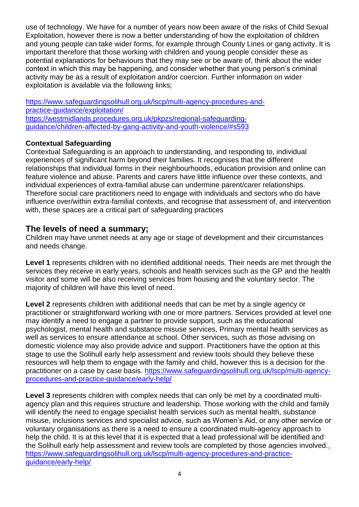use of technology. We have for a number of years now been aware of the risks of Child Sexual Exploitation, however there is now a better understanding of how the exploitation of children and young people can take wider forms, for example through County Lines or gang activity. It is important therefore that those working with children and young people consider these as potential explanations for behaviours that they may see or be aware of, think about the wider context in which this may be happening, and consider whether that young person's criminal activity may be as a result of exploitation and/or coercion. Further information on wider exploitation is available via the following links;

[https://www.safeguardingsolihull.org.uk/lscp/multi-agency-procedures-and](https://www.safeguardingsolihull.org.uk/lscp/multi-agency-procedures-and-practice-guidance/exploitation/)[practice-guidance/exploitation/](https://www.safeguardingsolihull.org.uk/lscp/multi-agency-procedures-and-practice-guidance/exploitation/) [https://westmidlands.procedures.org.uk/pkpzs/regional-safeguarding](https://westmidlands.procedures.org.uk/pkpzs/regional-safeguarding-guidance/children-affected-by-gang-activity-and-youth-violence/#s593)[guidance/children-affected-by-gang-activity-and-youth-violence/#s593](https://westmidlands.procedures.org.uk/pkpzs/regional-safeguarding-guidance/children-affected-by-gang-activity-and-youth-violence/#s593)

### **Contextual Safeguarding**

Contextual Safeguarding is an approach to understanding, and responding to, individual experiences of significant harm beyond their families. It recognises that the different relationships that individual forms in their neighbourhoods, education provision and online can feature violence and abuse. Parents and carers have little influence over these contexts, and individual experiences of extra-familial abuse can undermine parent/carer relationships. Therefore social care practitioners need to engage with individuals and sectors who do have influence over/within extra-familial contexts, and recognise that assessment of, and intervention with, these spaces are a critical part of safeguarding practices

# **The levels of need a summary;**

Children may have unmet needs at any age or stage of development and their circumstances and needs change.

Level 1 represents children with no identified additional needs. Their needs are met through the services they receive in early years, schools and health services such as the GP and the health visitor and some will be also receiving services from housing and the voluntary sector. The majority of children will have this level of need.

**Level 2** represents children with additional needs that can be met by a single agency or practitioner or straightforward working with one or more partners. Services provided at level one may identify a need to engage a partner to provide support, such as the educational psychologist, mental health and substance misuse services, Primary mental health services as well as services to ensure attendance at school. Other services, such as those advising on domestic violence may also provide advice and support. Practitioners have the option at this stage to use the Solihull early help assessment and review tools should they believe these resources will help them to engage with the family and child, however this is a decision for the practitioner on a case by case basis. [https://www.safeguardingsolihull.org.uk/lscp/multi-agency](https://www.safeguardingsolihull.org.uk/lscp/multi-agency-procedures-and-practice-guidance/early-help/)[procedures-and-practice-guidance/early-help/](https://www.safeguardingsolihull.org.uk/lscp/multi-agency-procedures-and-practice-guidance/early-help/)

Level 3 represents children with complex needs that can only be met by a coordinated multiagency plan and this requires structure and leadership. Those working with the child and family will identify the need to engage specialist health services such as mental health, substance misuse, inclusions services and specialist advice, such as Women's Aid, or any other service or voluntary organisations as there is a need to ensure a coordinated multi-agency approach to help the child. It is at this level that it is expected that a lead professional will be identified and the Solihull early help assessment and review tools are completed by those agencies involved.. https://www.safeguardingsolihull.org.uk/lscp/multi-agency-procedures-and-practiceguidance/early-help/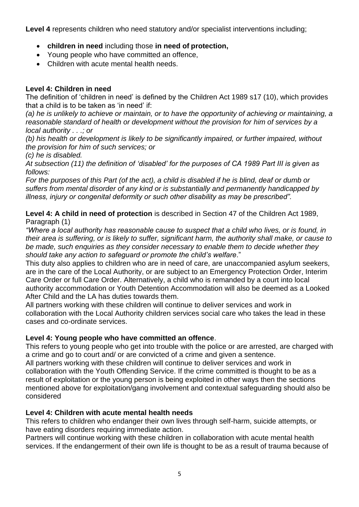**Level 4** represents children who need statutory and/or specialist interventions including;

- **children in need** including those **in need of protection,**
- Young people who have committed an offence,
- Children with acute mental health needs.

### **Level 4: Children in need**

The definition of 'children in need' is defined by the Children Act 1989 s17 (10), which provides that a child is to be taken as 'in need' if:

*(a) he is unlikely to achieve or maintain, or to have the opportunity of achieving or maintaining, a reasonable standard of health or development without the provision for him of services by a local authority . . .; or*

*(b) his health or development is likely to be significantly impaired, or further impaired, without the provision for him of such services; or*

*(c) he is disabled.*

*At subsection (11) the definition of 'disabled' for the purposes of CA 1989 Part III is given as follows:*

*For the purposes of this Part (of the act), a child is disabled if he is blind, deaf or dumb or suffers from mental disorder of any kind or is substantially and permanently handicapped by illness, injury or congenital deformity or such other disability as may be prescribed".*

**Level 4: A child in need of protection** is described in Section 47 of the Children Act 1989, Paragraph (1)

*"Where a local authority has reasonable cause to suspect that a child who lives, or is found, in their area is suffering, or is likely to suffer, significant harm, the authority shall make, or cause to be made, such enquiries as they consider necessary to enable them to decide whether they should take any action to safeguard or promote the child's welfare*."

This duty also applies to children who are in need of care, are unaccompanied asylum seekers, are in the care of the Local Authority, or are subject to an Emergency Protection Order, Interim Care Order or full Care Order. Alternatively, a child who is remanded by a court into local authority accommodation or Youth Detention Accommodation will also be deemed as a Looked After Child and the LA has duties towards them.

All partners working with these children will continue to deliver services and work in collaboration with the Local Authority children services social care who takes the lead in these cases and co-ordinate services.

# **Level 4: Young people who have committed an offence**.

This refers to young people who get into trouble with the police or are arrested, are charged with a crime and go to court and/ or are convicted of a crime and given a sentence.

All partners working with these children will continue to deliver services and work in collaboration with the Youth Offending Service. If the crime committed is thought to be as a result of exploitation or the young person is being exploited in other ways then the sections mentioned above for exploitation/gang involvement and contextual safeguarding should also be considered

# **Level 4: Children with acute mental health needs**

This refers to children who endanger their own lives through self-harm, suicide attempts, or have eating disorders requiring immediate action.

Partners will continue working with these children in collaboration with acute mental health services. If the endangerment of their own life is thought to be as a result of trauma because of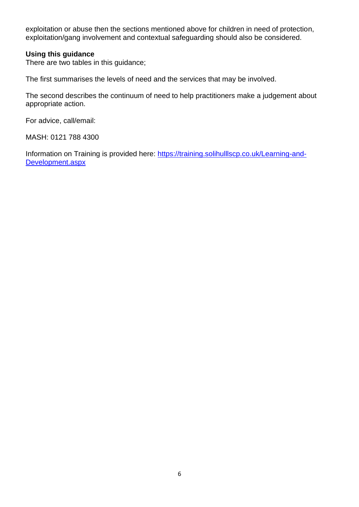exploitation or abuse then the sections mentioned above for children in need of protection, exploitation/gang involvement and contextual safeguarding should also be considered.

#### **Using this guidance**

There are two tables in this guidance;

The first summarises the levels of need and the services that may be involved.

The second describes the continuum of need to help practitioners make a judgement about appropriate action.

For advice, call/email:

MASH: 0121 788 4300

Information on Training is provided here: [https://training.solihulllscp.co.uk/Learning-and-](https://training.solihulllscp.co.uk/Learning-and-Development.aspx)[Development.aspx](https://training.solihulllscp.co.uk/Learning-and-Development.aspx)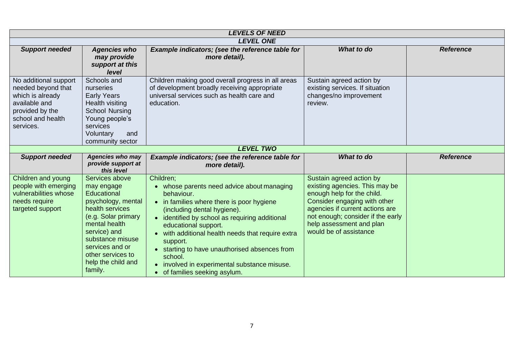| <b>LEVELS OF NEED</b>                                                                                                                 |                                                                                                                                                                                                                                           |                                                                                                                                                                                                                                                                                                                                                                                                                                       |                                                                                                                                                                                                                                                        |                  |  |
|---------------------------------------------------------------------------------------------------------------------------------------|-------------------------------------------------------------------------------------------------------------------------------------------------------------------------------------------------------------------------------------------|---------------------------------------------------------------------------------------------------------------------------------------------------------------------------------------------------------------------------------------------------------------------------------------------------------------------------------------------------------------------------------------------------------------------------------------|--------------------------------------------------------------------------------------------------------------------------------------------------------------------------------------------------------------------------------------------------------|------------------|--|
|                                                                                                                                       |                                                                                                                                                                                                                                           | <b>LEVEL ONE</b>                                                                                                                                                                                                                                                                                                                                                                                                                      |                                                                                                                                                                                                                                                        |                  |  |
| <b>Support needed</b>                                                                                                                 | <b>Agencies who</b><br>may provide<br>support at this<br>level                                                                                                                                                                            | Example indicators; (see the reference table for<br>more detail).                                                                                                                                                                                                                                                                                                                                                                     | What to do                                                                                                                                                                                                                                             | <b>Reference</b> |  |
| No additional support<br>needed beyond that<br>which is already<br>available and<br>provided by the<br>school and health<br>services. | Schools and<br>nurseries<br><b>Early Years</b><br>Health visiting<br><b>School Nursing</b><br>Young people's<br>services<br>Voluntary<br>and<br>community sector                                                                          | Children making good overall progress in all areas<br>of development broadly receiving appropriate<br>universal services such as health care and<br>education.                                                                                                                                                                                                                                                                        | Sustain agreed action by<br>existing services. If situation<br>changes/no improvement<br>review.                                                                                                                                                       |                  |  |
|                                                                                                                                       |                                                                                                                                                                                                                                           | <b>LEVEL TWO</b>                                                                                                                                                                                                                                                                                                                                                                                                                      |                                                                                                                                                                                                                                                        |                  |  |
| <b>Support needed</b>                                                                                                                 | <b>Agencies who may</b><br>provide support at<br>this level                                                                                                                                                                               | Example indicators; (see the reference table for<br>more detail).                                                                                                                                                                                                                                                                                                                                                                     | What to do                                                                                                                                                                                                                                             | <b>Reference</b> |  |
| Children and young<br>people with emerging<br>vulnerabilities whose<br>needs require<br>targeted support                              | Services above<br>may engage<br>Educational<br>psychology, mental<br>health services<br>(e.g. Solar primary<br>mental health<br>service) and<br>substance misuse<br>services and or<br>other services to<br>help the child and<br>family. | Children;<br>• whose parents need advice about managing<br>behaviour.<br>• in families where there is poor hygiene<br>(including dental hygiene).<br>• identified by school as requiring additional<br>educational support.<br>with additional health needs that require extra<br>support.<br>• starting to have unauthorised absences from<br>school.<br>involved in experimental substance misuse.<br>• of families seeking asylum. | Sustain agreed action by<br>existing agencies. This may be<br>enough help for the child.<br>Consider engaging with other<br>agencies if current actions are<br>not enough; consider if the early<br>help assessment and plan<br>would be of assistance |                  |  |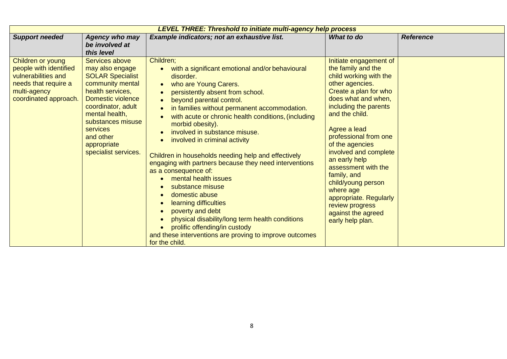| <b>LEVEL THREE: Threshold to initiate multi-agency help process</b>                                                                 |                                                                                                                                                                                                                                                               |                                                                                                                                                                                                                                                                                                                                                                                                                                                                                                                                                                                                                                                                                                                                                                                      |                                                                                                                                                                                                                                                                                                                                                                                                                                                            |                  |  |
|-------------------------------------------------------------------------------------------------------------------------------------|---------------------------------------------------------------------------------------------------------------------------------------------------------------------------------------------------------------------------------------------------------------|--------------------------------------------------------------------------------------------------------------------------------------------------------------------------------------------------------------------------------------------------------------------------------------------------------------------------------------------------------------------------------------------------------------------------------------------------------------------------------------------------------------------------------------------------------------------------------------------------------------------------------------------------------------------------------------------------------------------------------------------------------------------------------------|------------------------------------------------------------------------------------------------------------------------------------------------------------------------------------------------------------------------------------------------------------------------------------------------------------------------------------------------------------------------------------------------------------------------------------------------------------|------------------|--|
| <b>Support needed</b>                                                                                                               | <b>Agency who may</b><br>be involved at<br>this level                                                                                                                                                                                                         | Example indicators; not an exhaustive list.                                                                                                                                                                                                                                                                                                                                                                                                                                                                                                                                                                                                                                                                                                                                          | What to do                                                                                                                                                                                                                                                                                                                                                                                                                                                 | <b>Reference</b> |  |
| Children or young<br>people with identified<br>vulnerabilities and<br>needs that require a<br>multi-agency<br>coordinated approach. | Services above<br>may also engage<br><b>SOLAR Specialist</b><br>community mental<br>health services,<br>Domestic violence<br>coordinator, adult<br>mental health,<br>substances misuse<br><b>services</b><br>and other<br>appropriate<br>specialist services. | Children;<br>with a significant emotional and/or behavioural<br>disorder.<br>who are Young Carers.<br>persistently absent from school.<br>beyond parental control.<br>in families without permanent accommodation.<br>with acute or chronic health conditions, (including<br>morbid obesity).<br>involved in substance misuse.<br>involved in criminal activity<br>Children in households needing help and effectively<br>engaging with partners because they need interventions<br>as a consequence of:<br>mental health issues<br>substance misuse<br>domestic abuse<br>learning difficulties<br>poverty and debt<br>physical disability/long term health conditions<br>prolific offending/in custody<br>and these interventions are proving to improve outcomes<br>for the child. | Initiate engagement of<br>the family and the<br>child working with the<br>other agencies.<br>Create a plan for who<br>does what and when,<br>including the parents<br>and the child.<br>Agree a lead<br>professional from one<br>of the agencies<br>involved and complete<br>an early help<br>assessment with the<br>family, and<br>child/young person<br>where age<br>appropriate. Regularly<br>review progress<br>against the agreed<br>early help plan. |                  |  |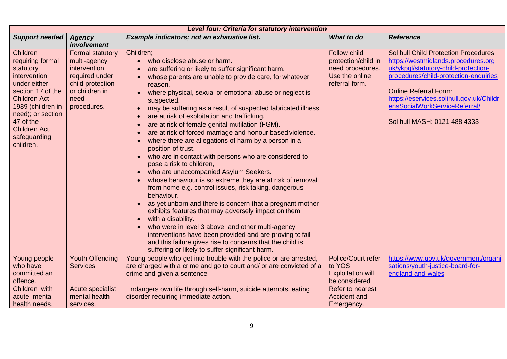| Level four: Criteria for statutory intervention                                                                                                                                                                            |                                                                                                                                        |                                                                                                                                                                                                                                                                                                                                                                                                                                                                                                                                                                                                                                                                                                                                                                                                                                                                                                                                                                                                                                                                                                                                                                                                                                                  |                                                                                             |                                                                                                                                                                                                                                                                                                                   |  |
|----------------------------------------------------------------------------------------------------------------------------------------------------------------------------------------------------------------------------|----------------------------------------------------------------------------------------------------------------------------------------|--------------------------------------------------------------------------------------------------------------------------------------------------------------------------------------------------------------------------------------------------------------------------------------------------------------------------------------------------------------------------------------------------------------------------------------------------------------------------------------------------------------------------------------------------------------------------------------------------------------------------------------------------------------------------------------------------------------------------------------------------------------------------------------------------------------------------------------------------------------------------------------------------------------------------------------------------------------------------------------------------------------------------------------------------------------------------------------------------------------------------------------------------------------------------------------------------------------------------------------------------|---------------------------------------------------------------------------------------------|-------------------------------------------------------------------------------------------------------------------------------------------------------------------------------------------------------------------------------------------------------------------------------------------------------------------|--|
| <b>Support needed</b>                                                                                                                                                                                                      | <b>Agency</b><br>involvement                                                                                                           | Example indicators; not an exhaustive list.                                                                                                                                                                                                                                                                                                                                                                                                                                                                                                                                                                                                                                                                                                                                                                                                                                                                                                                                                                                                                                                                                                                                                                                                      | What to do                                                                                  | <b>Reference</b>                                                                                                                                                                                                                                                                                                  |  |
| Children<br>requiring formal<br>statutory<br>intervention<br>under either<br>section 17 of the<br><b>Children Act</b><br>1989 (children in<br>need); or section<br>47 of the<br>Children Act,<br>safeguarding<br>children. | <b>Formal statutory</b><br>multi-agency<br>intervention<br>required under<br>child protection<br>or children in<br>need<br>procedures. | Children;<br>who disclose abuse or harm.<br>$\bullet$<br>are suffering or likely to suffer significant harm.<br>whose parents are unable to provide care, for whatever<br>reason.<br>where physical, sexual or emotional abuse or neglect is<br>suspected.<br>may be suffering as a result of suspected fabricated illness.<br>are at risk of exploitation and trafficking.<br>are at risk of female genital mutilation (FGM).<br>$\bullet$<br>are at risk of forced marriage and honour based violence.<br>where there are allegations of harm by a person in a<br>position of trust.<br>who are in contact with persons who are considered to<br>pose a risk to children,<br>who are unaccompanied Asylum Seekers.<br>whose behaviour is so extreme they are at risk of removal<br>from home e.g. control issues, risk taking, dangerous<br>behaviour.<br>as yet unborn and there is concern that a pregnant mother<br>$\bullet$<br>exhibits features that may adversely impact on them<br>with a disability.<br>who were in level 3 above, and other multi-agency<br>interventions have been provided and are proving to fail<br>and this failure gives rise to concerns that the child is<br>suffering or likely to suffer significant harm. | Follow child<br>protection/child in<br>need procedures.<br>Use the online<br>referral form. | <b>Solihull Child Protection Procedures</b><br>https://westmidlands.procedures.org.<br>uk/ykpql/statutory-child-protection-<br>procedures/child-protection-enquiries<br><b>Online Referral Form:</b><br>https://eservices.solihull.gov.uk/Childr<br>ensSocialWorkServiceReferral/<br>Solihull MASH: 0121 488 4333 |  |
| Young people<br>who have<br>committed an<br>offence.                                                                                                                                                                       | <b>Youth Offending</b><br><b>Services</b>                                                                                              | Young people who get into trouble with the police or are arrested,<br>are charged with a crime and go to court and/ or are convicted of a<br>crime and given a sentence                                                                                                                                                                                                                                                                                                                                                                                                                                                                                                                                                                                                                                                                                                                                                                                                                                                                                                                                                                                                                                                                          | Police/Court refer<br>to YOS<br><b>Exploitation will</b><br>be considered                   | https://www.gov.uk/government/organi<br>sations/youth-justice-board-for-<br>england-and-wales                                                                                                                                                                                                                     |  |
| Children with<br>acute mental<br>health needs.                                                                                                                                                                             | Acute specialist<br>mental health<br>services.                                                                                         | Endangers own life through self-harm, suicide attempts, eating<br>disorder requiring immediate action.                                                                                                                                                                                                                                                                                                                                                                                                                                                                                                                                                                                                                                                                                                                                                                                                                                                                                                                                                                                                                                                                                                                                           | Refer to nearest<br>Accident and<br>Emergency.                                              |                                                                                                                                                                                                                                                                                                                   |  |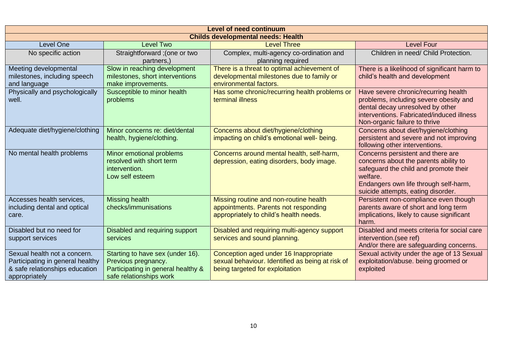| <b>Level of need continuum</b>            |                                    |                                                  |                                                   |  |
|-------------------------------------------|------------------------------------|--------------------------------------------------|---------------------------------------------------|--|
| <b>Childs developmental needs: Health</b> |                                    |                                                  |                                                   |  |
| <b>Level One</b>                          | <b>Level Two</b>                   | <b>Level Three</b>                               | <b>Level Four</b>                                 |  |
| No specific action                        | Straightforward; (one or two       | Complex, multi-agency co-ordination and          | Children in need/ Child Protection.               |  |
|                                           | partners,)                         | planning required                                |                                                   |  |
| Meeting developmental                     | Slow in reaching development       | There is a threat to optimal achievement of      | There is a likelihood of significant harm to      |  |
| milestones, including speech              | milestones, short interventions    | developmental milestones due to family or        | child's health and development                    |  |
| and language                              | make improvements.                 | environmental factors.                           |                                                   |  |
| Physically and psychologically            | Susceptible to minor health        | Has some chronic/recurring health problems or    | Have severe chronic/recurring health              |  |
| well.                                     | problems                           | terminal illness                                 | problems, including severe obesity and            |  |
|                                           |                                    |                                                  | dental decay unresolved by other                  |  |
|                                           |                                    |                                                  | interventions. Fabricated/induced illness         |  |
|                                           |                                    |                                                  | Non-organic failure to thrive                     |  |
| Adequate diet/hygiene/clothing            | Minor concerns re: diet/dental     | Concerns about diet/hygiene/clothing             | Concerns about diet/hygiene/clothing              |  |
|                                           | health, hygiene/clothing.          | impacting on child's emotional well- being.      | persistent and severe and not improving           |  |
|                                           |                                    |                                                  | following other interventions.                    |  |
| No mental health problems                 | Minor emotional problems           | Concerns around mental health, self-harm,        | Concerns persistent and there are                 |  |
|                                           | resolved with short term           | depression, eating disorders, body image.        | concerns about the parents ability to             |  |
|                                           | intervention.<br>Low self esteem   |                                                  | safeguard the child and promote their<br>welfare. |  |
|                                           |                                    |                                                  | Endangers own life through self-harm,             |  |
|                                           |                                    |                                                  | suicide attempts, eating disorder.                |  |
| Accesses health services,                 | Missing health                     | Missing routine and non-routine health           | Persistent non-compliance even though             |  |
| including dental and optical              | checks/immunisations               | appointments. Parents not responding             | parents aware of short and long term              |  |
| care.                                     |                                    | appropriately to child's health needs.           | implications, likely to cause significant         |  |
|                                           |                                    |                                                  | harm.                                             |  |
| Disabled but no need for                  | Disabled and requiring support     | Disabled and requiring multi-agency support      | Disabled and meets criteria for social care       |  |
| support services                          | services                           | services and sound planning.                     | intervention.(see ref)                            |  |
|                                           |                                    |                                                  | And/or there are safeguarding concerns.           |  |
| Sexual health not a concern.              | Starting to have sex (under 16).   | Conception aged under 16 Inappropriate           | Sexual activity under the age of 13 Sexual        |  |
| Participating in general healthy          | Previous pregnancy.                | sexual behaviour. Identified as being at risk of | exploitation/abuse. being groomed or              |  |
| & safe relationships education            | Participating in general healthy & | being targeted for exploitation                  | exploited                                         |  |
| appropriately                             | safe relationships work            |                                                  |                                                   |  |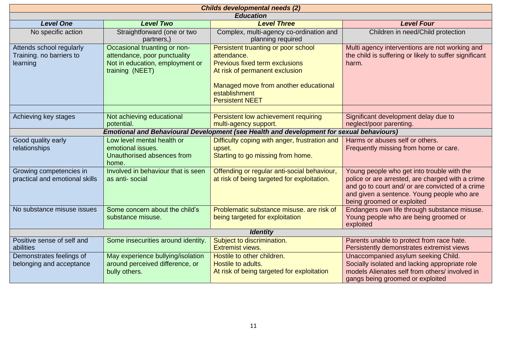| <b>Childs developmental needs (2)</b>                            |                                                                                                                    |                                                                                                                                                                                                                   |                                                                                                                                                                                                                                |  |
|------------------------------------------------------------------|--------------------------------------------------------------------------------------------------------------------|-------------------------------------------------------------------------------------------------------------------------------------------------------------------------------------------------------------------|--------------------------------------------------------------------------------------------------------------------------------------------------------------------------------------------------------------------------------|--|
| <b>Education</b>                                                 |                                                                                                                    |                                                                                                                                                                                                                   |                                                                                                                                                                                                                                |  |
| <b>Level One</b>                                                 | <b>Level Two</b>                                                                                                   | <b>Level Three</b>                                                                                                                                                                                                | <b>Level Four</b>                                                                                                                                                                                                              |  |
| No specific action                                               | Straightforward (one or two<br>partners,)                                                                          | Complex, multi-agency co-ordination and<br>planning required                                                                                                                                                      | Children in need/Child protection                                                                                                                                                                                              |  |
| Attends school regularly<br>Training. no barriers to<br>learning | Occasional truanting or non-<br>attendance, poor punctuality<br>Not in education, employment or<br>training (NEET) | Persistent truanting or poor school<br>attendance.<br><b>Previous fixed term exclusions</b><br>At risk of permanent exclusion<br>Managed move from another educational<br>establishment<br><b>Persistent NEET</b> | Multi agency interventions are not working and<br>the child is suffering or likely to suffer significant<br>harm.                                                                                                              |  |
|                                                                  |                                                                                                                    |                                                                                                                                                                                                                   |                                                                                                                                                                                                                                |  |
| Achieving key stages                                             | Not achieving educational<br>potential.                                                                            | Persistent low achievement requiring<br>multi-agency support.                                                                                                                                                     | Significant development delay due to<br>neglect/poor parenting.                                                                                                                                                                |  |
|                                                                  |                                                                                                                    | Emotional and Behavioural Development (see Health and development for sexual behaviours)                                                                                                                          |                                                                                                                                                                                                                                |  |
| Good quality early<br>relationships                              | Low level mental health or<br>emotional issues.<br>Unauthorised absences from<br>home.                             | Difficulty coping with anger, frustration and<br>upset.<br>Starting to go missing from home.                                                                                                                      | Harms or abuses self or others.<br>Frequently missing from home or care.                                                                                                                                                       |  |
| Growing competencies in<br>practical and emotional skills        | Involved in behaviour that is seen<br>as anti-social                                                               | Offending or regular anti-social behaviour,<br>at risk of being targeted for exploitation.                                                                                                                        | Young people who get into trouble with the<br>police or are arrested, are charged with a crime<br>and go to court and/ or are convicted of a crime<br>and given a sentence. Young people who are<br>being groomed or exploited |  |
| No substance misuse issues                                       | Some concern about the child's<br>substance misuse.                                                                | Problematic substance misuse, are risk of<br>being targeted for exploitation                                                                                                                                      | Endangers own life through substance misuse.<br>Young people who are being groomed or<br>exploited                                                                                                                             |  |
| <b>Identity</b>                                                  |                                                                                                                    |                                                                                                                                                                                                                   |                                                                                                                                                                                                                                |  |
| Positive sense of self and<br>abilities                          | Some insecurities around identity.                                                                                 | Subject to discrimination.<br><b>Extremist views.</b>                                                                                                                                                             | Parents unable to protect from race hate.<br>Persistently demonstrates extremist views                                                                                                                                         |  |
| Demonstrates feelings of<br>belonging and acceptance             | May experience bullying/isolation<br>around perceived difference, or<br>bully others.                              | Hostile to other children.<br>Hostile to adults.<br>At risk of being targeted for exploitation                                                                                                                    | Unaccompanied asylum seeking Child.<br>Socially isolated and lacking appropriate role<br>models Alienates self from others/ involved in<br>gangs being groomed or exploited                                                    |  |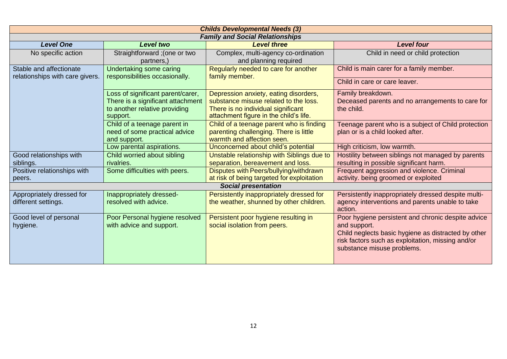| <b>Childs Developmental Needs (3)</b>                      |                                                                                                                     |                                                                                                                                                                |                                                                                                                                                                                                              |  |
|------------------------------------------------------------|---------------------------------------------------------------------------------------------------------------------|----------------------------------------------------------------------------------------------------------------------------------------------------------------|--------------------------------------------------------------------------------------------------------------------------------------------------------------------------------------------------------------|--|
| <b>Family and Social Relationships</b>                     |                                                                                                                     |                                                                                                                                                                |                                                                                                                                                                                                              |  |
| <b>Level One</b>                                           | <b>Level two</b>                                                                                                    | <b>Level three</b>                                                                                                                                             | <b>Level four</b>                                                                                                                                                                                            |  |
| No specific action                                         | Straightforward; (one or two<br>partners,)                                                                          | Complex, multi-agency co-ordination<br>and planning required                                                                                                   | Child in need or child protection                                                                                                                                                                            |  |
| Stable and affectionate<br>relationships with care givers. | Undertaking some caring<br>responsibilities occasionally.                                                           | Regularly needed to care for another<br>family member.                                                                                                         | Child is main carer for a family member.                                                                                                                                                                     |  |
|                                                            |                                                                                                                     |                                                                                                                                                                | Child in care or care leaver.                                                                                                                                                                                |  |
|                                                            | Loss of significant parent/carer,<br>There is a significant attachment<br>to another relative providing<br>support. | Depression anxiety, eating disorders,<br>substance misuse related to the loss.<br>There is no individual significant<br>attachment figure in the child's life. | Family breakdown.<br>Deceased parents and no arrangements to care for<br>the child.                                                                                                                          |  |
|                                                            | Child of a teenage parent in<br>need of some practical advice<br>and support.                                       | Child of a teenage parent who is finding<br>parenting challenging. There is little<br>warmth and affection seen.                                               | Teenage parent who is a subject of Child protection<br>plan or is a child looked after.                                                                                                                      |  |
|                                                            | Low parental aspirations.                                                                                           | Unconcerned about child's potential                                                                                                                            | High criticism, low warmth.                                                                                                                                                                                  |  |
| Good relationships with<br>siblings.                       | Child worried about sibling<br>rivalries.                                                                           | Unstable relationship with Siblings due to<br>separation, bereavement and loss.                                                                                | Hostility between siblings not managed by parents<br>resulting in possible significant harm.                                                                                                                 |  |
| Positive relationships with<br>peers.                      | Some difficulties with peers.                                                                                       | Disputes with Peers/bullying/withdrawn<br>at risk of being targeted for exploitation                                                                           | Frequent aggression and violence. Criminal<br>activity. being groomed or exploited                                                                                                                           |  |
|                                                            |                                                                                                                     | <b>Social presentation</b>                                                                                                                                     |                                                                                                                                                                                                              |  |
| Appropriately dressed for<br>different settings.           | Inappropriately dressed-<br>resolved with advice.                                                                   | Persistently inappropriately dressed for<br>the weather, shunned by other children.                                                                            | Persistently inappropriately dressed despite multi-<br>agency interventions and parents unable to take<br>action.                                                                                            |  |
| Good level of personal<br>hygiene.                         | Poor Personal hygiene resolved<br>with advice and support.                                                          | Persistent poor hygiene resulting in<br>social isolation from peers.                                                                                           | Poor hygiene persistent and chronic despite advice<br>and support.<br>Child neglects basic hygiene as distracted by other<br>risk factors such as exploitation, missing and/or<br>substance misuse problems. |  |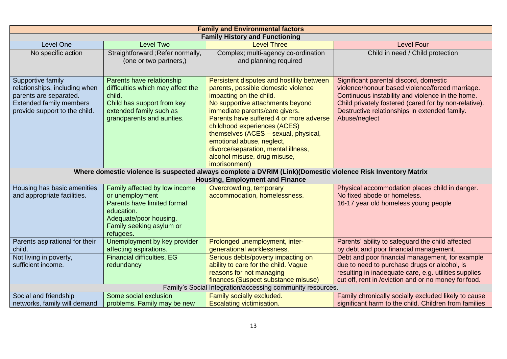| <b>Family and Environmental factors</b>                                                                                                         |                                                                                                                                                                  |                                                                                                                                                                                                                                                                                                                                                                                                                           |                                                                                                                                                                                                                                                                          |  |  |
|-------------------------------------------------------------------------------------------------------------------------------------------------|------------------------------------------------------------------------------------------------------------------------------------------------------------------|---------------------------------------------------------------------------------------------------------------------------------------------------------------------------------------------------------------------------------------------------------------------------------------------------------------------------------------------------------------------------------------------------------------------------|--------------------------------------------------------------------------------------------------------------------------------------------------------------------------------------------------------------------------------------------------------------------------|--|--|
| <b>Family History and Functioning</b>                                                                                                           |                                                                                                                                                                  |                                                                                                                                                                                                                                                                                                                                                                                                                           |                                                                                                                                                                                                                                                                          |  |  |
| <b>Level One</b>                                                                                                                                | <b>Level Two</b>                                                                                                                                                 | <b>Level Three</b>                                                                                                                                                                                                                                                                                                                                                                                                        | <b>Level Four</b>                                                                                                                                                                                                                                                        |  |  |
| No specific action                                                                                                                              | Straightforward ; Refer normally,<br>(one or two partners,)                                                                                                      | Complex; multi-agency co-ordination<br>and planning required                                                                                                                                                                                                                                                                                                                                                              | Child in need / Child protection                                                                                                                                                                                                                                         |  |  |
| Supportive family<br>relationships, including when<br>parents are separated.<br><b>Extended family members</b><br>provide support to the child. | Parents have relationship<br>difficulties which may affect the<br>child.<br>Child has support from key<br>extended family such as<br>grandparents and aunties.   | Persistent disputes and hostility between<br>parents, possible domestic violence<br>impacting on the child.<br>No supportive attachments beyond<br>immediate parents/care givers.<br>Parents have suffered 4 or more adverse<br>childhood experiences (ACES)<br>themselves (ACES - sexual, physical,<br>emotional abuse, neglect,<br>divorce/separation, mental illness,<br>alcohol misuse, drug misuse,<br>imprisonment) | Significant parental discord, domestic<br>violence/honour based violence/forced marriage.<br>Continuous instability and violence in the home.<br>Child privately fostered (cared for by non-relative).<br>Destructive relationships in extended family.<br>Abuse/neglect |  |  |
| Where domestic violence is suspected always complete a DVRIM (Link)(Domestic violence Risk Inventory Matrix                                     |                                                                                                                                                                  |                                                                                                                                                                                                                                                                                                                                                                                                                           |                                                                                                                                                                                                                                                                          |  |  |
| <b>Housing, Employment and Finance</b>                                                                                                          |                                                                                                                                                                  |                                                                                                                                                                                                                                                                                                                                                                                                                           |                                                                                                                                                                                                                                                                          |  |  |
| Housing has basic amenities<br>and appropriate facilities.                                                                                      | Family affected by low income<br>or unemployment<br>Parents have limited formal<br>education.<br>Adequate/poor housing.<br>Family seeking asylum or<br>refugees. | Overcrowding, temporary<br>accommodation, homelessness.                                                                                                                                                                                                                                                                                                                                                                   | Physical accommodation places child in danger.<br>No fixed abode or homeless.<br>16-17 year old homeless young people                                                                                                                                                    |  |  |
| Parents aspirational for their<br>child.                                                                                                        | Unemployment by key provider<br>affecting aspirations.                                                                                                           | Prolonged unemployment, inter-<br>generational worklessness.                                                                                                                                                                                                                                                                                                                                                              | Parents' ability to safeguard the child affected<br>by debt and poor financial management.                                                                                                                                                                               |  |  |
| Not living in poverty,<br>sufficient income.                                                                                                    | <b>Financial difficulties, EG</b><br>redundancy                                                                                                                  | Serious debts/poverty impacting on<br>ability to care for the child. Vague<br>reasons for not managing<br>finances. (Suspect substance misuse)                                                                                                                                                                                                                                                                            | Debt and poor financial management, for example<br>due to need to purchase drugs or alcohol, is<br>resulting in inadequate care, e.g. utilities supplies<br>cut off, rent in /eviction and or no money for food.                                                         |  |  |
| Family's Social Integration/accessing community resources.                                                                                      |                                                                                                                                                                  |                                                                                                                                                                                                                                                                                                                                                                                                                           |                                                                                                                                                                                                                                                                          |  |  |
| Social and friendship<br>networks, family will demand                                                                                           | Some social exclusion<br>problems. Family may be new                                                                                                             | Family socially excluded.<br>Escalating victimisation.                                                                                                                                                                                                                                                                                                                                                                    | Family chronically socially excluded likely to cause<br>significant harm to the child. Children from families                                                                                                                                                            |  |  |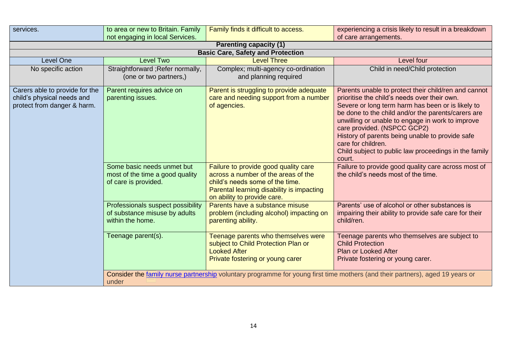| services.                                                                                   | to area or new to Britain. Family<br>not engaging in local Services.                                                                   | Family finds it difficult to access.                                                                                                                                                       | experiencing a crisis likely to result in a breakdown<br>of care arrangements.                                                                                                                                                                                                                                                                                                                                                                 |  |  |  |
|---------------------------------------------------------------------------------------------|----------------------------------------------------------------------------------------------------------------------------------------|--------------------------------------------------------------------------------------------------------------------------------------------------------------------------------------------|------------------------------------------------------------------------------------------------------------------------------------------------------------------------------------------------------------------------------------------------------------------------------------------------------------------------------------------------------------------------------------------------------------------------------------------------|--|--|--|
| <b>Parenting capacity (1)</b>                                                               |                                                                                                                                        |                                                                                                                                                                                            |                                                                                                                                                                                                                                                                                                                                                                                                                                                |  |  |  |
|                                                                                             |                                                                                                                                        | <b>Basic Care, Safety and Protection</b>                                                                                                                                                   |                                                                                                                                                                                                                                                                                                                                                                                                                                                |  |  |  |
| <b>Level One</b>                                                                            | <b>Level Two</b>                                                                                                                       | <b>Level Three</b>                                                                                                                                                                         | Level four                                                                                                                                                                                                                                                                                                                                                                                                                                     |  |  |  |
| No specific action                                                                          | Straightforward; Refer normally,<br>(one or two partners,)                                                                             | Complex; multi-agency co-ordination<br>and planning required                                                                                                                               | Child in need/Child protection                                                                                                                                                                                                                                                                                                                                                                                                                 |  |  |  |
| Carers able to provide for the<br>child's physical needs and<br>protect from danger & harm. | Parent requires advice on<br>parenting issues.                                                                                         | Parent is struggling to provide adequate<br>care and needing support from a number<br>of agencies.                                                                                         | Parents unable to protect their child/ren and cannot<br>prioritise the child's needs over their own.<br>Severe or long term harm has been or is likely to<br>be done to the child and/or the parents/carers are<br>unwilling or unable to engage in work to improve<br>care provided. (NSPCC GCP2)<br>History of parents being unable to provide safe<br>care for children.<br>Child subject to public law proceedings in the family<br>court. |  |  |  |
|                                                                                             | Some basic needs unmet but<br>most of the time a good quality<br>of care is provided.                                                  | Failure to provide good quality care<br>across a number of the areas of the<br>child's needs some of the time.<br>Parental learning disability is impacting<br>on ability to provide care. | Failure to provide good quality care across most of<br>the child's needs most of the time.                                                                                                                                                                                                                                                                                                                                                     |  |  |  |
|                                                                                             | Professionals suspect possibility<br>of substance misuse by adults<br>within the home.                                                 | Parents have a substance misuse<br>problem (including alcohol) impacting on<br>parenting ability.                                                                                          | Parents' use of alcohol or other substances is<br>impairing their ability to provide safe care for their<br>child/ren.                                                                                                                                                                                                                                                                                                                         |  |  |  |
|                                                                                             | Teenage parent(s).                                                                                                                     | Teenage parents who themselves were<br>subject to Child Protection Plan or<br><b>Looked After</b><br>Private fostering or young carer                                                      | Teenage parents who themselves are subject to<br><b>Child Protection</b><br><b>Plan or Looked After</b><br>Private fostering or young carer.                                                                                                                                                                                                                                                                                                   |  |  |  |
|                                                                                             | Consider the family nurse partnership voluntary programme for young first time mothers (and their partners), aged 19 years or<br>under |                                                                                                                                                                                            |                                                                                                                                                                                                                                                                                                                                                                                                                                                |  |  |  |